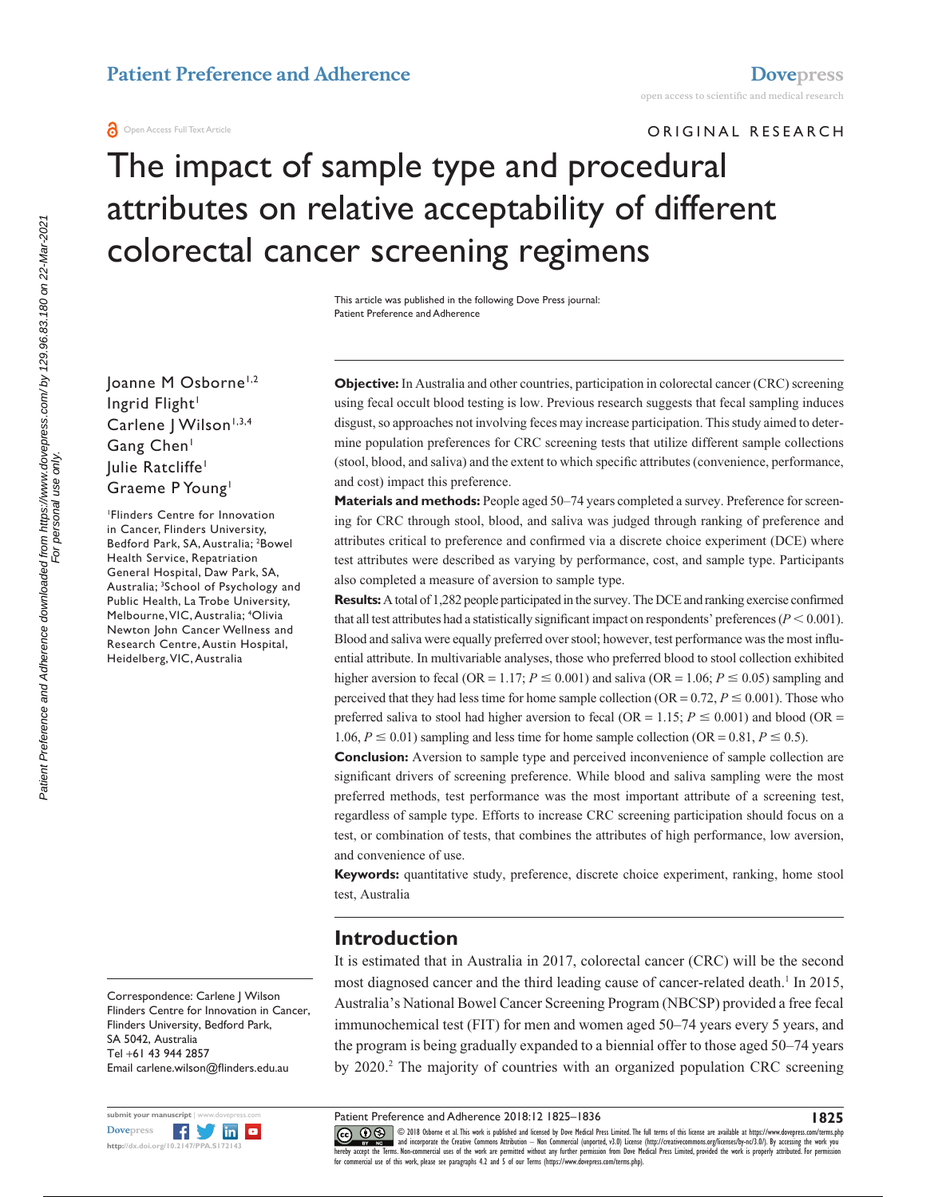#### **a** Open Access Full Text Article

ORIGINAL RESEARCH

# The impact of sample type and procedural attributes on relative acceptability of different colorectal cancer screening regimens

This article was published in the following Dove Press journal: Patient Preference and Adherence

Joanne M Osborne<sup>1,2</sup> Ingrid Flight<sup>1</sup> Carlene | Wilson<sup>1,3,4</sup> Gang Chen<sup>1</sup> Julie Ratcliffe<sup>1</sup> Graeme P Young1

1 Flinders Centre for Innovation in Cancer, Flinders University, Bedford Park, SA, Australia; 2 Bowel Health Service, Repatriation General Hospital, Daw Park, SA, Australia; 3 School of Psychology and Public Health, La Trobe University, Melbourne, VIC, Australia; 4 Olivia Newton John Cancer Wellness and Research Centre, Austin Hospital, Heidelberg, VIC, Australia

Correspondence: Carlene J Wilson Flinders Centre for Innovation in Cancer, Flinders University, Bedford Park, SA 5042, Australia Tel +61 43 944 2857 Email [carlene.wilson@flinders.edu.a](mailto:carlene.wilson@flinders.edu.au)u



**Objective:** In Australia and other countries, participation in colorectal cancer (CRC) screening using fecal occult blood testing is low. Previous research suggests that fecal sampling induces disgust, so approaches not involving feces may increase participation. This study aimed to determine population preferences for CRC screening tests that utilize different sample collections (stool, blood, and saliva) and the extent to which specific attributes (convenience, performance, and cost) impact this preference.

**Materials and methods:** People aged 50–74 years completed a survey. Preference for screening for CRC through stool, blood, and saliva was judged through ranking of preference and attributes critical to preference and confirmed via a discrete choice experiment (DCE) where test attributes were described as varying by performance, cost, and sample type. Participants also completed a measure of aversion to sample type.

**Results:** A total of 1,282 people participated in the survey. The DCE and ranking exercise confirmed that all test attributes had a statistically significant impact on respondents' preferences ( $P < 0.001$ ). Blood and saliva were equally preferred over stool; however, test performance was the most influential attribute. In multivariable analyses, those who preferred blood to stool collection exhibited higher aversion to fecal (OR = 1.17;  $P \le 0.001$ ) and saliva (OR = 1.06;  $P \le 0.05$ ) sampling and perceived that they had less time for home sample collection (OR =  $0.72$ ,  $P \le 0.001$ ). Those who preferred saliva to stool had higher aversion to fecal (OR = 1.15;  $P \le 0.001$ ) and blood (OR = 1.06,  $P \le 0.01$ ) sampling and less time for home sample collection (OR = 0.81,  $P \le 0.5$ ).

**Conclusion:** Aversion to sample type and perceived inconvenience of sample collection are significant drivers of screening preference. While blood and saliva sampling were the most preferred methods, test performance was the most important attribute of a screening test, regardless of sample type. Efforts to increase CRC screening participation should focus on a test, or combination of tests, that combines the attributes of high performance, low aversion, and convenience of use.

**Keywords:** quantitative study, preference, discrete choice experiment, ranking, home stool test, Australia

## **Introduction**

It is estimated that in Australia in 2017, colorectal cancer (CRC) will be the second most diagnosed cancer and the third leading cause of cancer-related death.<sup>1</sup> In 2015, Australia's National Bowel Cancer Screening Program (NBCSP) provided a free fecal immunochemical test (FIT) for men and women aged 50–74 years every 5 years, and the program is being gradually expanded to a biennial offer to those aged 50–74 years by 2020.<sup>2</sup> The majority of countries with an organized population CRC screening

Patient Preference and Adherence 2018:12 1825–1836

**1825**

Patient Preference and Adherence downloaded from https://www.dovepress.com/ by 129.96.83.180 on 22-Mar-2021<br>Patient Preference and Adherence downloaded for personal use only. Patient Preference and Adherence downloaded from https://www.dovepress.com/ by 129.96.83.180 on 22-Mar-2021 For personal use only.

CCC OS © 2018 Osborne et al. This work is published and licensed by Dove Medical Press Limited. The full terms of this license are available at <https://www.dovepress.com/terms.php><br>[hereby accept the Terms](http://www.dovepress.com/permissions.php). Non-commercial us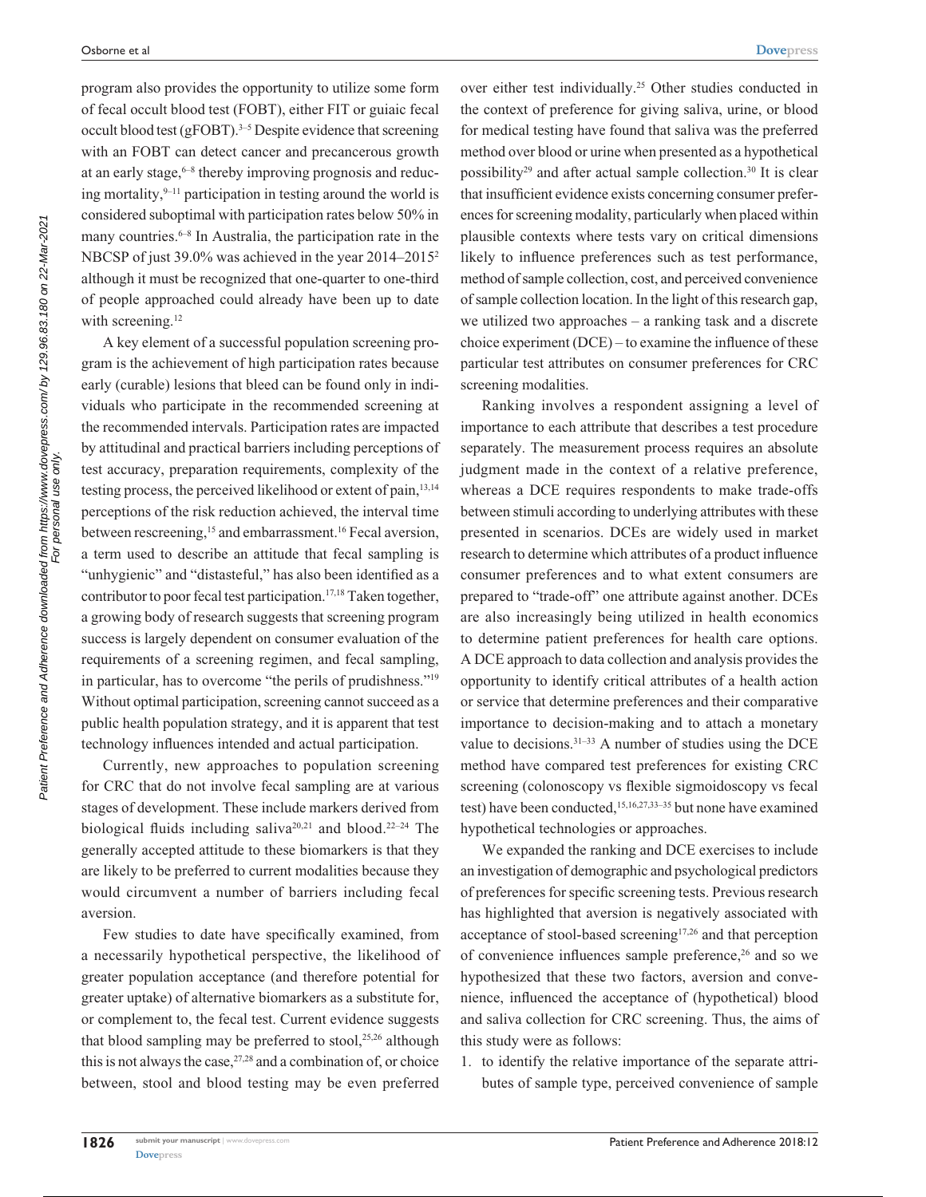program also provides the opportunity to utilize some form of fecal occult blood test (FOBT), either FIT or guiaic fecal occult blood test (gFOBT).<sup>3–5</sup> Despite evidence that screening with an FOBT can detect cancer and precancerous growth at an early stage, $6-8$  thereby improving prognosis and reducing mortality, $9-11$  participation in testing around the world is considered suboptimal with participation rates below 50% in many countries.<sup>6–8</sup> In Australia, the participation rate in the NBCSP of just 39.0% was achieved in the year 2014–20152 although it must be recognized that one-quarter to one-third of people approached could already have been up to date with screening.<sup>12</sup>

A key element of a successful population screening program is the achievement of high participation rates because early (curable) lesions that bleed can be found only in individuals who participate in the recommended screening at the recommended intervals. Participation rates are impacted by attitudinal and practical barriers including perceptions of test accuracy, preparation requirements, complexity of the testing process, the perceived likelihood or extent of pain,13,14 perceptions of the risk reduction achieved, the interval time between rescreening,<sup>15</sup> and embarrassment.<sup>16</sup> Fecal aversion, a term used to describe an attitude that fecal sampling is "unhygienic" and "distasteful," has also been identified as a contributor to poor fecal test participation.17,18 Taken together, a growing body of research suggests that screening program success is largely dependent on consumer evaluation of the requirements of a screening regimen, and fecal sampling, in particular, has to overcome "the perils of prudishness."19 Without optimal participation, screening cannot succeed as a public health population strategy, and it is apparent that test technology influences intended and actual participation.

Currently, new approaches to population screening for CRC that do not involve fecal sampling are at various stages of development. These include markers derived from biological fluids including saliva<sup>20,21</sup> and blood.<sup>22–24</sup> The generally accepted attitude to these biomarkers is that they are likely to be preferred to current modalities because they would circumvent a number of barriers including fecal aversion.

Few studies to date have specifically examined, from a necessarily hypothetical perspective, the likelihood of greater population acceptance (and therefore potential for greater uptake) of alternative biomarkers as a substitute for, or complement to, the fecal test. Current evidence suggests that blood sampling may be preferred to stool, $25,26$  although this is not always the case,  $27,28$  and a combination of, or choice between, stool and blood testing may be even preferred over either test individually.25 Other studies conducted in the context of preference for giving saliva, urine, or blood for medical testing have found that saliva was the preferred method over blood or urine when presented as a hypothetical possibility29 and after actual sample collection.30 It is clear that insufficient evidence exists concerning consumer preferences for screening modality, particularly when placed within plausible contexts where tests vary on critical dimensions likely to influence preferences such as test performance, method of sample collection, cost, and perceived convenience of sample collection location. In the light of this research gap, we utilized two approaches – a ranking task and a discrete choice experiment (DCE) – to examine the influence of these particular test attributes on consumer preferences for CRC screening modalities.

Ranking involves a respondent assigning a level of importance to each attribute that describes a test procedure separately. The measurement process requires an absolute judgment made in the context of a relative preference, whereas a DCE requires respondents to make trade-offs between stimuli according to underlying attributes with these presented in scenarios. DCEs are widely used in market research to determine which attributes of a product influence consumer preferences and to what extent consumers are prepared to "trade-off" one attribute against another. DCEs are also increasingly being utilized in health economics to determine patient preferences for health care options. A DCE approach to data collection and analysis provides the opportunity to identify critical attributes of a health action or service that determine preferences and their comparative importance to decision-making and to attach a monetary value to decisions.31–33 A number of studies using the DCE method have compared test preferences for existing CRC screening (colonoscopy vs flexible sigmoidoscopy vs fecal test) have been conducted,15,16,27,33–35 but none have examined hypothetical technologies or approaches.

We expanded the ranking and DCE exercises to include an investigation of demographic and psychological predictors of preferences for specific screening tests. Previous research has highlighted that aversion is negatively associated with acceptance of stool-based screening<sup>17,26</sup> and that perception of convenience influences sample preference,<sup>26</sup> and so we hypothesized that these two factors, aversion and convenience, influenced the acceptance of (hypothetical) blood and saliva collection for CRC screening. Thus, the aims of this study were as follows:

1. to identify the relative importance of the separate attributes of sample type, perceived convenience of sample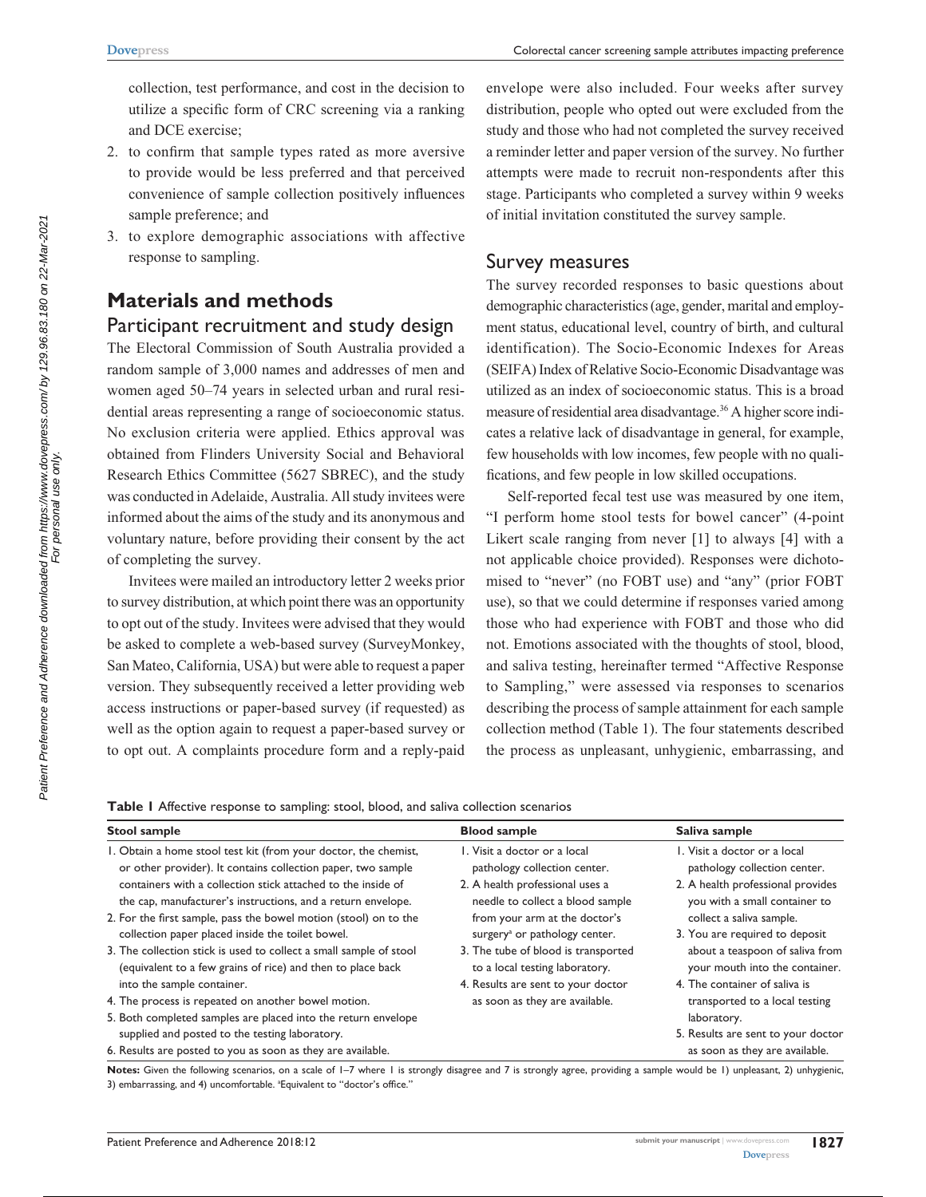collection, test performance, and cost in the decision to utilize a specific form of CRC screening via a ranking and DCE exercise;

- 2. to confirm that sample types rated as more aversive to provide would be less preferred and that perceived convenience of sample collection positively influences sample preference; and
- 3. to explore demographic associations with affective response to sampling.

# **Materials and methods** Participant recruitment and study design

The Electoral Commission of South Australia provided a random sample of 3,000 names and addresses of men and women aged 50–74 years in selected urban and rural residential areas representing a range of socioeconomic status. No exclusion criteria were applied. Ethics approval was obtained from Flinders University Social and Behavioral Research Ethics Committee (5627 SBREC), and the study was conducted in Adelaide, Australia. All study invitees were informed about the aims of the study and its anonymous and voluntary nature, before providing their consent by the act of completing the survey.

Invitees were mailed an introductory letter 2 weeks prior to survey distribution, at which point there was an opportunity to opt out of the study. Invitees were advised that they would be asked to complete a web-based survey (SurveyMonkey, San Mateo, California, USA) but were able to request a paper version. They subsequently received a letter providing web access instructions or paper-based survey (if requested) as well as the option again to request a paper-based survey or to opt out. A complaints procedure form and a reply-paid envelope were also included. Four weeks after survey distribution, people who opted out were excluded from the study and those who had not completed the survey received a reminder letter and paper version of the survey. No further attempts were made to recruit non-respondents after this stage. Participants who completed a survey within 9 weeks of initial invitation constituted the survey sample.

#### Survey measures

The survey recorded responses to basic questions about demographic characteristics (age, gender, marital and employment status, educational level, country of birth, and cultural identification). The Socio-Economic Indexes for Areas (SEIFA) Index of Relative Socio-Economic Disadvantage was utilized as an index of socioeconomic status. This is a broad measure of residential area disadvantage.36 A higher score indicates a relative lack of disadvantage in general, for example, few households with low incomes, few people with no qualifications, and few people in low skilled occupations.

Self-reported fecal test use was measured by one item, "I perform home stool tests for bowel cancer" (4-point Likert scale ranging from never [1] to always [4] with a not applicable choice provided). Responses were dichotomised to "never" (no FOBT use) and "any" (prior FOBT use), so that we could determine if responses varied among those who had experience with FOBT and those who did not. Emotions associated with the thoughts of stool, blood, and saliva testing, hereinafter termed "Affective Response to Sampling," were assessed via responses to scenarios describing the process of sample attainment for each sample collection method (Table 1). The four statements described the process as unpleasant, unhygienic, embarrassing, and

**Table 1** Affective response to sampling: stool, blood, and saliva collection scenarios

| Stool sample                                                                                                                      | <b>Blood sample</b>                                                        | Saliva sample                                                      |
|-----------------------------------------------------------------------------------------------------------------------------------|----------------------------------------------------------------------------|--------------------------------------------------------------------|
| I. Obtain a home stool test kit (from your doctor, the chemist,<br>or other provider). It contains collection paper, two sample   | I. Visit a doctor or a local<br>pathology collection center.               | I. Visit a doctor or a local<br>pathology collection center.       |
| containers with a collection stick attached to the inside of<br>the cap, manufacturer's instructions, and a return envelope.      | 2. A health professional uses a<br>needle to collect a blood sample        | 2. A health professional provides<br>you with a small container to |
| 2. For the first sample, pass the bowel motion (stool) on to the<br>collection paper placed inside the toilet bowel.              | from your arm at the doctor's<br>surgery <sup>a</sup> or pathology center. | collect a saliva sample.<br>3. You are required to deposit         |
| 3. The collection stick is used to collect a small sample of stool<br>(equivalent to a few grains of rice) and then to place back | 3. The tube of blood is transported<br>to a local testing laboratory.      | about a teaspoon of saliva from<br>your mouth into the container.  |
| into the sample container.                                                                                                        | 4. Results are sent to your doctor                                         | 4. The container of saliva is                                      |
| 4. The process is repeated on another bowel motion.                                                                               | as soon as they are available.                                             | transported to a local testing                                     |
| 5. Both completed samples are placed into the return envelope                                                                     |                                                                            | laboratory.                                                        |
| supplied and posted to the testing laboratory.                                                                                    |                                                                            | 5. Results are sent to your doctor                                 |
| 6. Results are posted to you as soon as they are available.                                                                       |                                                                            | as soon as they are available.                                     |
|                                                                                                                                   |                                                                            |                                                                    |

Notes: Given the following scenarios, on a scale of 1-7 where 1 is strongly disagree and 7 is strongly agree, providing a sample would be 1) unpleasant, 2) unhygienic, 3) embarrassing, and 4) uncomfortable. <sup>a</sup>Equivalent to "doctor's office."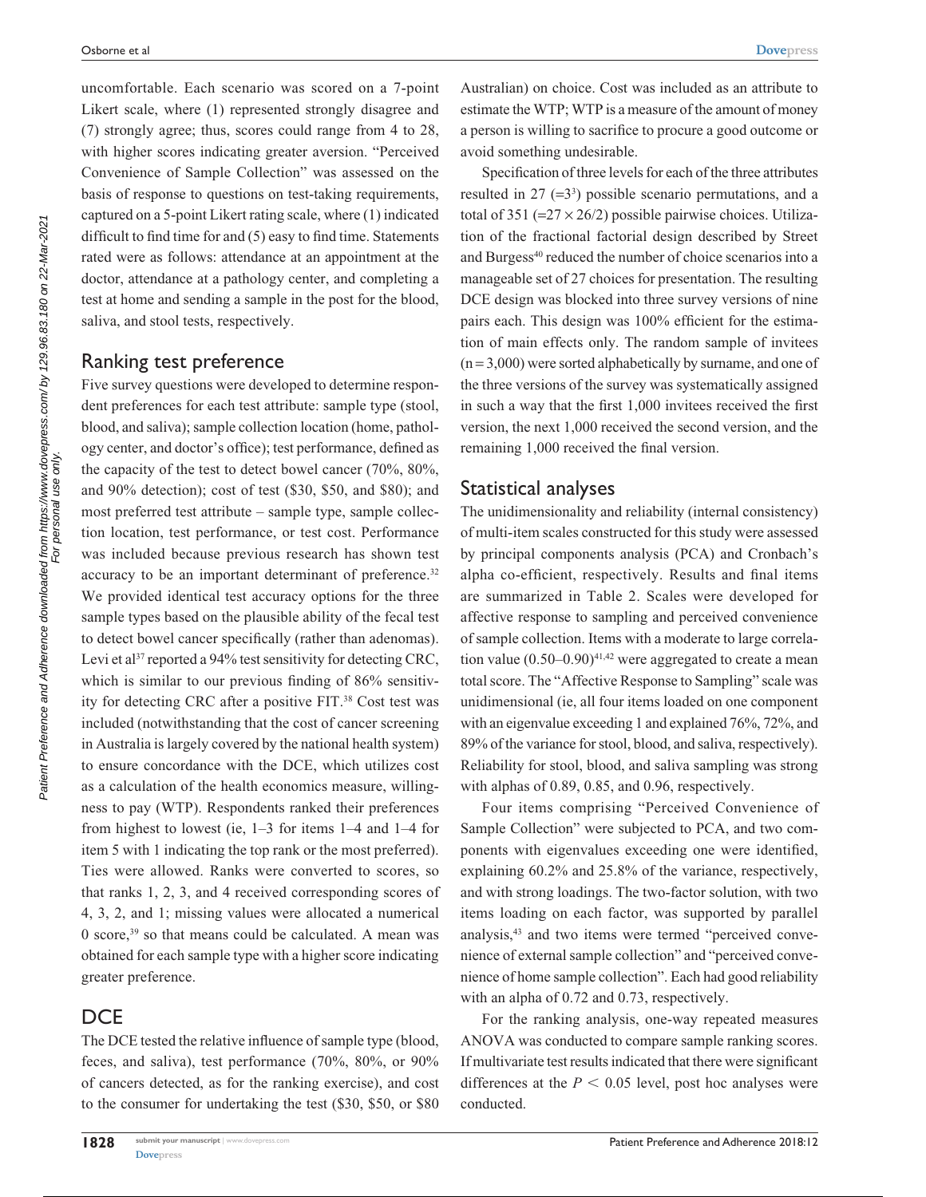uncomfortable. Each scenario was scored on a 7-point Likert scale, where (1) represented strongly disagree and (7) strongly agree; thus, scores could range from 4 to 28, with higher scores indicating greater aversion. "Perceived Convenience of Sample Collection" was assessed on the basis of response to questions on test-taking requirements, captured on a 5-point Likert rating scale, where (1) indicated difficult to find time for and (5) easy to find time. Statements rated were as follows: attendance at an appointment at the doctor, attendance at a pathology center, and completing a test at home and sending a sample in the post for the blood, saliva, and stool tests, respectively.

#### Ranking test preference

Five survey questions were developed to determine respondent preferences for each test attribute: sample type (stool, blood, and saliva); sample collection location (home, pathology center, and doctor's office); test performance, defined as the capacity of the test to detect bowel cancer (70%, 80%, and 90% detection); cost of test (\$30, \$50, and \$80); and most preferred test attribute – sample type, sample collection location, test performance, or test cost. Performance was included because previous research has shown test accuracy to be an important determinant of preference.<sup>32</sup> We provided identical test accuracy options for the three sample types based on the plausible ability of the fecal test to detect bowel cancer specifically (rather than adenomas). Levi et al<sup>37</sup> reported a 94% test sensitivity for detecting CRC, which is similar to our previous finding of 86% sensitivity for detecting CRC after a positive FIT.38 Cost test was included (notwithstanding that the cost of cancer screening in Australia is largely covered by the national health system) to ensure concordance with the DCE, which utilizes cost as a calculation of the health economics measure, willingness to pay (WTP). Respondents ranked their preferences from highest to lowest (ie, 1–3 for items 1–4 and 1–4 for item 5 with 1 indicating the top rank or the most preferred). Ties were allowed. Ranks were converted to scores, so that ranks 1, 2, 3, and 4 received corresponding scores of 4, 3, 2, and 1; missing values were allocated a numerical  $0$  score,<sup>39</sup> so that means could be calculated. A mean was obtained for each sample type with a higher score indicating greater preference.

#### **DCE**

The DCE tested the relative influence of sample type (blood, feces, and saliva), test performance (70%, 80%, or 90% of cancers detected, as for the ranking exercise), and cost to the consumer for undertaking the test (\$30, \$50, or \$80

Australian) on choice. Cost was included as an attribute to estimate the WTP; WTP is a measure of the amount of money a person is willing to sacrifice to procure a good outcome or avoid something undesirable.

Specification of three levels for each of the three attributes resulted in  $27$  (=3<sup>3</sup>) possible scenario permutations, and a total of 351 ( $=27 \times 26/2$ ) possible pairwise choices. Utilization of the fractional factorial design described by Street and Burgess<sup>40</sup> reduced the number of choice scenarios into a manageable set of 27 choices for presentation. The resulting DCE design was blocked into three survey versions of nine pairs each. This design was 100% efficient for the estimation of main effects only. The random sample of invitees  $(n=3,000)$  were sorted alphabetically by surname, and one of the three versions of the survey was systematically assigned in such a way that the first 1,000 invitees received the first version, the next 1,000 received the second version, and the remaining 1,000 received the final version.

#### Statistical analyses

The unidimensionality and reliability (internal consistency) of multi-item scales constructed for this study were assessed by principal components analysis (PCA) and Cronbach's alpha co-efficient, respectively. Results and final items are summarized in Table 2. Scales were developed for affective response to sampling and perceived convenience of sample collection. Items with a moderate to large correlation value  $(0.50-0.90)^{41,42}$  were aggregated to create a mean total score. The "Affective Response to Sampling" scale was unidimensional (ie, all four items loaded on one component with an eigenvalue exceeding 1 and explained 76%, 72%, and 89% of the variance for stool, blood, and saliva, respectively). Reliability for stool, blood, and saliva sampling was strong with alphas of 0.89, 0.85, and 0.96, respectively.

Four items comprising "Perceived Convenience of Sample Collection" were subjected to PCA, and two components with eigenvalues exceeding one were identified, explaining 60.2% and 25.8% of the variance, respectively, and with strong loadings. The two-factor solution, with two items loading on each factor, was supported by parallel analysis,43 and two items were termed "perceived convenience of external sample collection" and "perceived convenience of home sample collection". Each had good reliability with an alpha of 0.72 and 0.73, respectively.

For the ranking analysis, one-way repeated measures ANOVA was conducted to compare sample ranking scores. If multivariate test results indicated that there were significant differences at the  $P < 0.05$  level, post hoc analyses were conducted.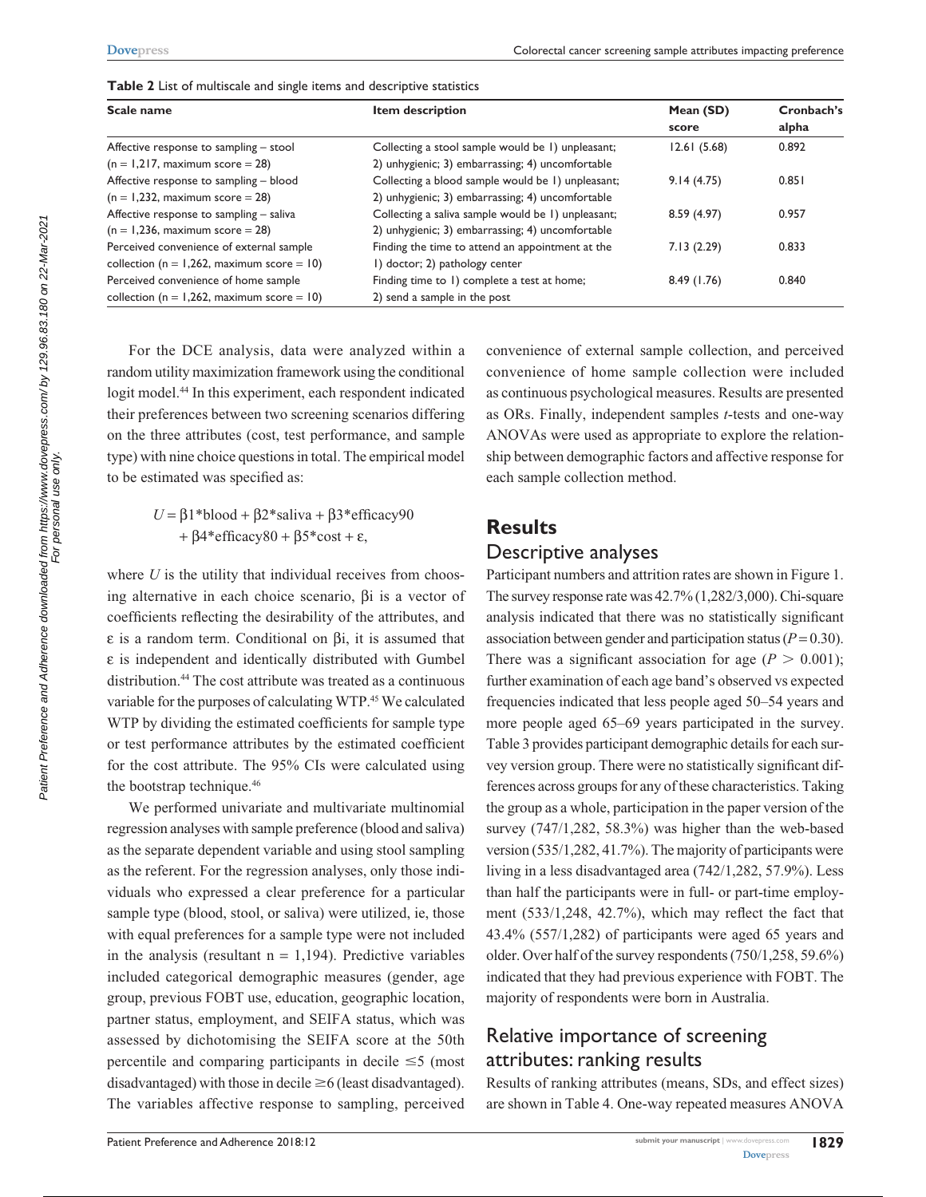| Scale name                                     | Item description                                   | Mean (SD)   | Cronbach's |
|------------------------------------------------|----------------------------------------------------|-------------|------------|
|                                                |                                                    | score       | alpha      |
| Affective response to sampling – stool         | Collecting a stool sample would be 1) unpleasant;  | 12.61(5.68) | 0.892      |
| $(n = 1,217,$ maximum score = 28)              | 2) unhygienic; 3) embarrassing; 4) uncomfortable   |             |            |
| Affective response to sampling - blood         | Collecting a blood sample would be 1) unpleasant;  | 9.14(4.75)  | 0.851      |
| $(n = 1,232,$ maximum score = 28)              | 2) unhygienic; 3) embarrassing; 4) uncomfortable   |             |            |
| Affective response to sampling - saliva        | Collecting a saliva sample would be 1) unpleasant; | 8.59(4.97)  | 0.957      |
| $(n = 1,236,$ maximum score = 28)              | 2) unhygienic; 3) embarrassing; 4) uncomfortable   |             |            |
| Perceived convenience of external sample       | Finding the time to attend an appointment at the   | 7.13(2.29)  | 0.833      |
| collection ( $n = 1,262$ , maximum score = 10) | I) doctor; 2) pathology center                     |             |            |
| Perceived convenience of home sample           | Finding time to 1) complete a test at home;        | 8.49(1.76)  | 0.840      |
| collection ( $n = 1,262$ , maximum score = 10) | 2) send a sample in the post                       |             |            |

**Table 2** List of multiscale and single items and descriptive statistics

For the DCE analysis, data were analyzed within a random utility maximization framework using the conditional logit model.<sup>44</sup> In this experiment, each respondent indicated their preferences between two screening scenarios differing on the three attributes (cost, test performance, and sample type) with nine choice questions in total. The empirical model to be estimated was specified as:

> $U = \beta1* \text{blood} + \beta2* \text{saliva} + \beta3* \text{efficacy}90$ +  $\beta$ 4\*efficacy80 +  $\beta$ 5\*cost + ε,

where *U* is the utility that individual receives from choosing alternative in each choice scenario, βi is a vector of coefficients reflecting the desirability of the attributes, and ε is a random term. Conditional on βi, it is assumed that ε is independent and identically distributed with Gumbel distribution.44 The cost attribute was treated as a continuous variable for the purposes of calculating WTP.45 We calculated WTP by dividing the estimated coefficients for sample type or test performance attributes by the estimated coefficient for the cost attribute. The 95% CIs were calculated using the bootstrap technique.<sup>46</sup>

We performed univariate and multivariate multinomial regression analyses with sample preference (blood and saliva) as the separate dependent variable and using stool sampling as the referent. For the regression analyses, only those individuals who expressed a clear preference for a particular sample type (blood, stool, or saliva) were utilized, ie, those with equal preferences for a sample type were not included in the analysis (resultant  $n = 1,194$ ). Predictive variables included categorical demographic measures (gender, age group, previous FOBT use, education, geographic location, partner status, employment, and SEIFA status, which was assessed by dichotomising the SEIFA score at the 50th percentile and comparing participants in decile  $\leq$  5 (most disadvantaged) with those in decile  $\geq 6$  (least disadvantaged). The variables affective response to sampling, perceived convenience of external sample collection, and perceived convenience of home sample collection were included as continuous psychological measures. Results are presented as ORs. Finally, independent samples *t*-tests and one-way ANOVAs were used as appropriate to explore the relationship between demographic factors and affective response for each sample collection method.

# **Results** Descriptive analyses

Participant numbers and attrition rates are shown in Figure 1. The survey response rate was 42.7% (1,282/3,000). Chi-square analysis indicated that there was no statistically significant association between gender and participation status  $(P = 0.30)$ . There was a significant association for age  $(P > 0.001)$ ; further examination of each age band's observed vs expected frequencies indicated that less people aged 50–54 years and more people aged 65–69 years participated in the survey. Table 3 provides participant demographic details for each survey version group. There were no statistically significant differences across groups for any of these characteristics. Taking the group as a whole, participation in the paper version of the survey (747/1,282, 58.3%) was higher than the web-based version (535/1,282, 41.7%). The majority of participants were living in a less disadvantaged area (742/1,282, 57.9%). Less than half the participants were in full- or part-time employment (533/1,248, 42.7%), which may reflect the fact that 43.4% (557/1,282) of participants were aged 65 years and older. Over half of the survey respondents (750/1,258, 59.6%) indicated that they had previous experience with FOBT. The majority of respondents were born in Australia.

# Relative importance of screening attributes: ranking results

Results of ranking attributes (means, SDs, and effect sizes) are shown in Table 4. One-way repeated measures ANOVA

For personal use only.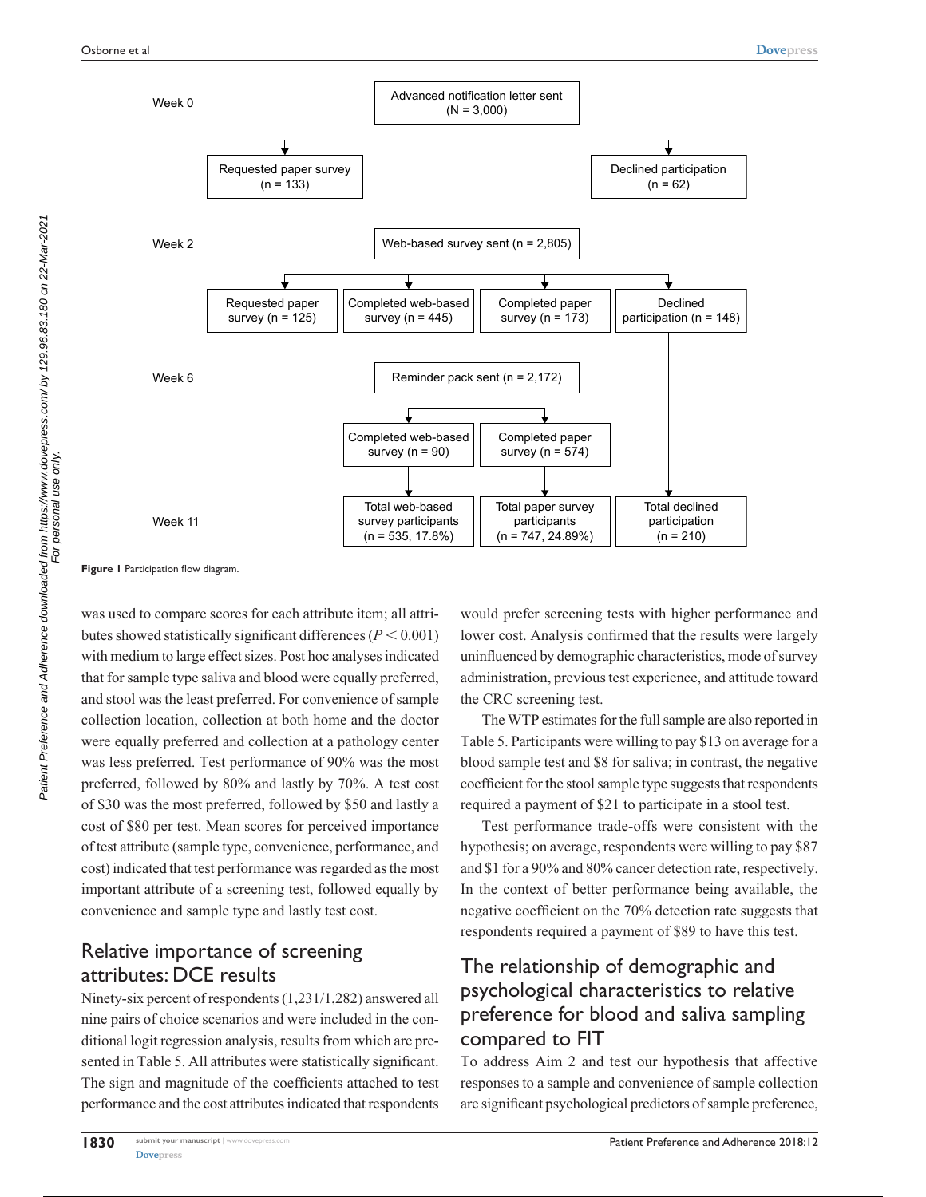

**Figure 1** Participation flow diagram.

was used to compare scores for each attribute item; all attributes showed statistically significant differences ( $P < 0.001$ ) with medium to large effect sizes. Post hoc analyses indicated that for sample type saliva and blood were equally preferred, and stool was the least preferred. For convenience of sample collection location, collection at both home and the doctor were equally preferred and collection at a pathology center was less preferred. Test performance of 90% was the most preferred, followed by 80% and lastly by 70%. A test cost of \$30 was the most preferred, followed by \$50 and lastly a cost of \$80 per test. Mean scores for perceived importance of test attribute (sample type, convenience, performance, and cost) indicated that test performance was regarded as the most important attribute of a screening test, followed equally by convenience and sample type and lastly test cost.

## Relative importance of screening attributes: DCE results

Ninety-six percent of respondents (1,231/1,282) answered all nine pairs of choice scenarios and were included in the conditional logit regression analysis, results from which are presented in Table 5. All attributes were statistically significant. The sign and magnitude of the coefficients attached to test performance and the cost attributes indicated that respondents

would prefer screening tests with higher performance and lower cost. Analysis confirmed that the results were largely uninfluenced by demographic characteristics, mode of survey administration, previous test experience, and attitude toward the CRC screening test.

The WTP estimates for the full sample are also reported in Table 5. Participants were willing to pay \$13 on average for a blood sample test and \$8 for saliva; in contrast, the negative coefficient for the stool sample type suggests that respondents required a payment of \$21 to participate in a stool test.

Test performance trade-offs were consistent with the hypothesis; on average, respondents were willing to pay \$87 and \$1 for a 90% and 80% cancer detection rate, respectively. In the context of better performance being available, the negative coefficient on the 70% detection rate suggests that respondents required a payment of \$89 to have this test.

# The relationship of demographic and psychological characteristics to relative preference for blood and saliva sampling compared to FIT

To address Aim 2 and test our hypothesis that affective responses to a sample and convenience of sample collection are significant psychological predictors of sample preference,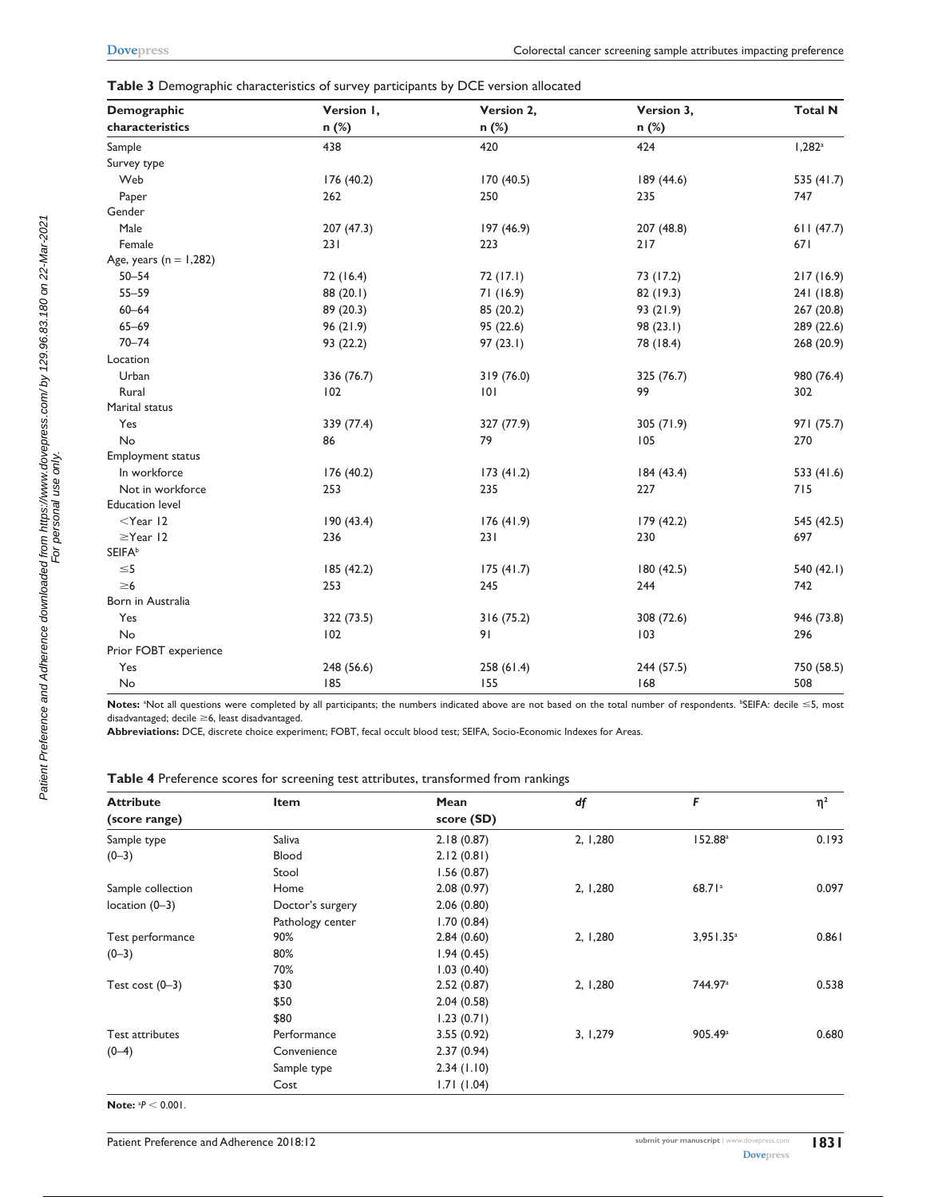| Table 3 Demographic characteristics of survey participants by DCE version allocated |  |  |
|-------------------------------------------------------------------------------------|--|--|
|-------------------------------------------------------------------------------------|--|--|

| Demographic                | Version I, | Version 2, | Version 3, | <b>Total N</b> |
|----------------------------|------------|------------|------------|----------------|
| characteristics            | n (%)      | n (%)      | n (%)      |                |
| Sample                     | 438        | 420        | 424        | $1,282^a$      |
| Survey type                |            |            |            |                |
| Web                        | 176 (40.2) | 170 (40.5) | 189 (44.6) | 535 (41.7)     |
| Paper                      | 262        | 250        | 235        | 747            |
| Gender                     |            |            |            |                |
| Male                       | 207 (47.3) | 197 (46.9) | 207 (48.8) | 611(47.7)      |
| Female                     | 231        | 223        | 217        | 671            |
| Age, years ( $n = 1,282$ ) |            |            |            |                |
| $50 - 54$                  | 72 (16.4)  | 72 (17.1)  | 73 (17.2)  | 217(16.9)      |
| $55 - 59$                  | 88 (20.1)  | 71 (16.9)  | 82 (19.3)  | 241 (18.8)     |
| $60 - 64$                  | 89 (20.3)  | 85 (20.2)  | 93(21.9)   | 267(20.8)      |
| $65 - 69$                  | 96(21.9)   | 95 (22.6)  | 98(23.1)   | 289 (22.6)     |
| $70 - 74$                  | 93 (22.2)  | 97(23.1)   | 78 (18.4)  | 268 (20.9)     |
| Location                   |            |            |            |                |
| Urban                      | 336 (76.7) | 319(76.0)  | 325 (76.7) | 980 (76.4)     |
| Rural                      | 102        | 101        | 99         | 302            |
| Marital status             |            |            |            |                |
| Yes                        | 339 (77.4) | 327 (77.9) | 305(71.9)  | 971 (75.7)     |
| No                         | 86         | 79         | 105        | 270            |
| <b>Employment status</b>   |            |            |            |                |
| In workforce               | 176 (40.2) | 173(41.2)  | 184(43.4)  | 533 (41.6)     |
| Not in workforce           | 253        | 235        | 227        | 715            |
| <b>Education level</b>     |            |            |            |                |
| $<$ Year 12                | 190(43.4)  | 176(41.9)  | 179 (42.2) | 545 (42.5)     |
| $\geq$ Year 12             | 236        | 231        | 230        | 697            |
| <b>SEIFA</b> b             |            |            |            |                |
| $\leq$ 5                   | 185 (42.2) | 175(41.7)  | 180(42.5)  | 540 $(42.1)$   |
| $\geq 6$                   | 253        | 245        | 244        | 742            |
| Born in Australia          |            |            |            |                |
| Yes                        | 322 (73.5) | 316 (75.2) | 308 (72.6) | 946 (73.8)     |
| No                         | 102        | 91         | 103        | 296            |
| Prior FOBT experience      |            |            |            |                |
| Yes                        | 248 (56.6) | 258 (61.4) | 244 (57.5) | 750 (58.5)     |
| No                         | 185        | 155        | 168        | 508            |

Notes: <sup>a</sup>Not all questions were completed by all participants; the numbers indicated above are not based on the total number of respondents. <sup>b</sup>SEIFA: decile ≤5, most disadvantaged; decile  $\geq$ 6, least disadvantaged.

**Abbreviations:** DCE, discrete choice experiment; FOBT, fecal occult blood test; SEIFA, Socio-Economic Indexes for Areas.

| Table 4 Preference scores for screening test attributes, transformed from rankings |  |  |  |  |  |  |
|------------------------------------------------------------------------------------|--|--|--|--|--|--|
|------------------------------------------------------------------------------------|--|--|--|--|--|--|

| <b>Attribute</b>       | Item             | Mean       | df        | F                     | $\eta^2$ |
|------------------------|------------------|------------|-----------|-----------------------|----------|
| (score range)          |                  | score (SD) |           |                       |          |
| Sample type            | Saliva           | 2.18(0.87) | 2, 1,280  | 152.88 <sup>a</sup>   | 0.193    |
| $(0-3)$                | Blood            | 2.12(0.81) |           |                       |          |
|                        | Stool            | 1.56(0.87) |           |                       |          |
| Sample collection      | Home             | 2.08(0.97) | 2, 1,280  | 68.71a                | 0.097    |
| location (0-3)         | Doctor's surgery | 2.06(0.80) |           |                       |          |
|                        | Pathology center | 1.70(0.84) |           |                       |          |
| Test performance       | 90%              | 2.84(0.60) | 2, 1,280  | 3,951.35 <sup>a</sup> | 0.861    |
| $(0-3)$                | 80%              | 1.94(0.45) |           |                       |          |
|                        | 70%              | 1.03(0.40) |           |                       |          |
| Test cost $(0-3)$      | \$30             | 2.52(0.87) | 2, 1,280  | 744.97 <sup>a</sup>   | 0.538    |
|                        | \$50             | 2.04(0.58) |           |                       |          |
|                        | \$80             | 1.23(0.71) |           |                       |          |
| <b>Test attributes</b> | Performance      | 3.55(0.92) | 3, 1, 279 | 905.49 <sup>a</sup>   | 0.680    |
| $(0-4)$                | Convenience      | 2.37(0.94) |           |                       |          |
|                        | Sample type      | 2.34(1.10) |           |                       |          |
|                        | Cost             | 1.71(1.04) |           |                       |          |

**Note:**  $P < 0.001$ .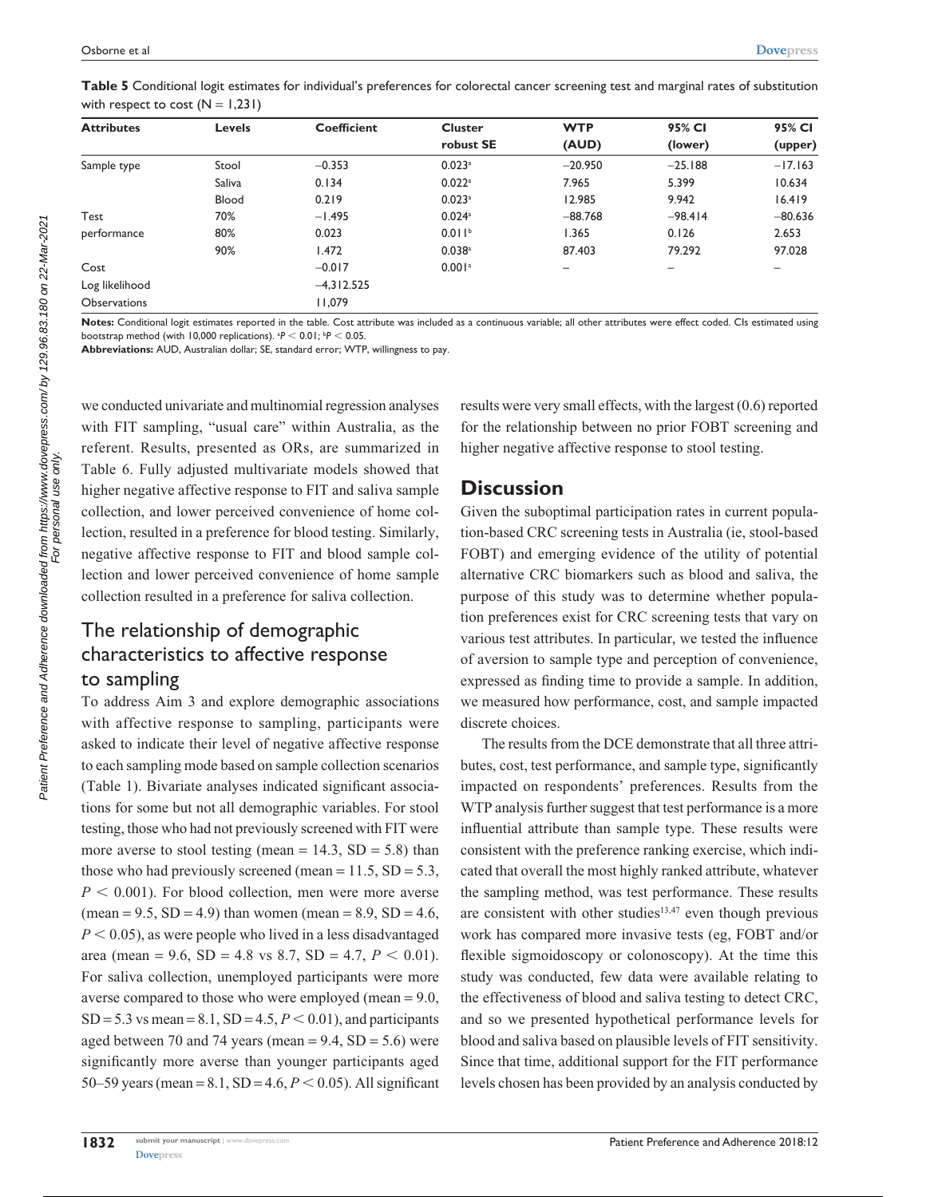Table 5 Conditional logit estimates for individual's preferences for colorectal cancer screening test and marginal rates of substitution with respect to cost  $(N = 1,231)$ 

| <b>Attributes</b>   | <b>Levels</b> | <b>Coefficient</b> | <b>Cluster</b>       | <b>WTP</b> | 95% CI                   | 95% CI                   |
|---------------------|---------------|--------------------|----------------------|------------|--------------------------|--------------------------|
|                     |               |                    | robust SE            | (AUD)      | (lower)                  | (upper)                  |
| Sample type         | Stool         | $-0.353$           | $0.023$ <sup>a</sup> | $-20.950$  | $-25.188$                | $-17.163$                |
|                     | Saliva        | 0.134              | $0.022$ <sup>a</sup> | 7.965      | 5.399                    | 10.634                   |
|                     | Blood         | 0.219              | $0.023$ <sup>a</sup> | 12.985     | 9.942                    | 16.419                   |
| <b>Test</b>         | 70%           | $-1.495$           | $0.024$ <sup>a</sup> | $-88.768$  | $-98.414$                | $-80.636$                |
| performance         | 80%           | 0.023              | 0.011 <sup>b</sup>   | 1.365      | 0.126                    | 2.653                    |
|                     | 90%           | 1.472              | $0.038$ <sup>a</sup> | 87.403     | 79.292                   | 97.028                   |
| Cost                |               | $-0.017$           | $0.001$ <sup>a</sup> | -          | $\overline{\phantom{0}}$ | $\overline{\phantom{m}}$ |
| Log likelihood      |               | $-4,312.525$       |                      |            |                          |                          |
| <b>Observations</b> |               | 11,079             |                      |            |                          |                          |

**Notes:** Conditional logit estimates reported in the table. Cost attribute was included as a continuous variable; all other attributes were effect coded. CIs estimated using bootstrap method (with 10,000 replications).  $^{3}P < 0.01$ ;  $^{5}P < 0.05$ .

**Abbreviations:** AUD, Australian dollar; SE, standard error; WTP, willingness to pay.

we conducted univariate and multinomial regression analyses with FIT sampling, "usual care" within Australia, as the referent. Results, presented as ORs, are summarized in Table 6. Fully adjusted multivariate models showed that higher negative affective response to FIT and saliva sample collection, and lower perceived convenience of home collection, resulted in a preference for blood testing. Similarly, negative affective response to FIT and blood sample collection and lower perceived convenience of home sample collection resulted in a preference for saliva collection.

# The relationship of demographic characteristics to affective response to sampling

To address Aim 3 and explore demographic associations with affective response to sampling, participants were asked to indicate their level of negative affective response to each sampling mode based on sample collection scenarios (Table 1). Bivariate analyses indicated significant associations for some but not all demographic variables. For stool testing, those who had not previously screened with FIT were more averse to stool testing (mean =  $14.3$ , SD =  $5.8$ ) than those who had previously screened (mean =  $11.5$ , SD =  $5.3$ ,  $P < 0.001$ ). For blood collection, men were more averse  $(\text{mean} = 9.5, SD = 4.9)$  than women  $(\text{mean} = 8.9, SD = 4.6,$  $P < 0.05$ ), as were people who lived in a less disadvantaged area (mean = 9.6, SD = 4.8 vs 8.7, SD = 4.7,  $P < 0.01$ ). For saliva collection, unemployed participants were more averse compared to those who were employed (mean = 9.0,  $SD = 5.3$  vs mean = 8.1,  $SD = 4.5, P < 0.01$ ), and participants aged between 70 and 74 years (mean =  $9.4$ , SD =  $5.6$ ) were significantly more averse than younger participants aged 50–59 years (mean =  $8.1$ , SD =  $4.6$ ,  $P < 0.05$ ). All significant results were very small effects, with the largest (0.6) reported for the relationship between no prior FOBT screening and higher negative affective response to stool testing.

#### **Discussion**

Given the suboptimal participation rates in current population-based CRC screening tests in Australia (ie, stool-based FOBT) and emerging evidence of the utility of potential alternative CRC biomarkers such as blood and saliva, the purpose of this study was to determine whether population preferences exist for CRC screening tests that vary on various test attributes. In particular, we tested the influence of aversion to sample type and perception of convenience, expressed as finding time to provide a sample. In addition, we measured how performance, cost, and sample impacted discrete choices.

The results from the DCE demonstrate that all three attributes, cost, test performance, and sample type, significantly impacted on respondents' preferences. Results from the WTP analysis further suggest that test performance is a more influential attribute than sample type. These results were consistent with the preference ranking exercise, which indicated that overall the most highly ranked attribute, whatever the sampling method, was test performance. These results are consistent with other studies $13,47$  even though previous work has compared more invasive tests (eg, FOBT and/or flexible sigmoidoscopy or colonoscopy). At the time this study was conducted, few data were available relating to the effectiveness of blood and saliva testing to detect CRC, and so we presented hypothetical performance levels for blood and saliva based on plausible levels of FIT sensitivity. Since that time, additional support for the FIT performance levels chosen has been provided by an analysis conducted by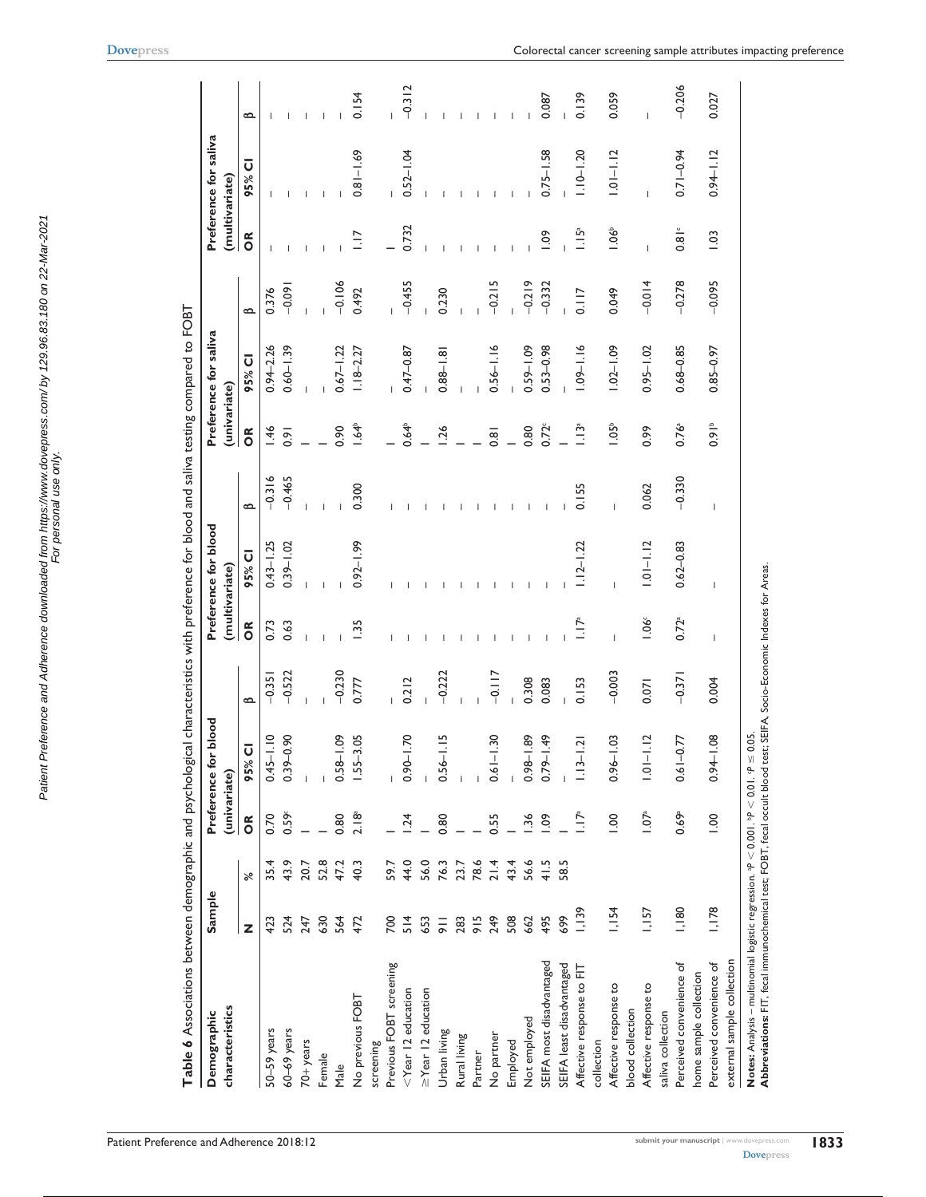| Table 6 Associations between demographic and psychological characteristics with preference for blood and saliva testing compared to FOBT                                                                        |                |      |                   |                           |          |                |                      |              |                             |                       |          |                |                       |                |
|-----------------------------------------------------------------------------------------------------------------------------------------------------------------------------------------------------------------|----------------|------|-------------------|---------------------------|----------|----------------|----------------------|--------------|-----------------------------|-----------------------|----------|----------------|-----------------------|----------------|
| Demographic                                                                                                                                                                                                     | Sample         |      |                   | Preference for blood      |          |                | Preference for blood |              |                             | Preference for saliva |          |                | Preference for saliva |                |
| characteristics                                                                                                                                                                                                 |                |      | (univariate)      |                           |          | (multivariate) |                      |              | (univariate)                |                       |          | (multivariate) |                       |                |
|                                                                                                                                                                                                                 | $\mathbf{z}$   | ৯ৎ   | õ                 | $\overline{O}$<br>95%     | $\circ$  | õ              | 95% CI               | $\circ$      | õ                           | ō<br>95%              | $\circ$  | õ              | $\overline{O}$<br>95% | ൶              |
| 50-59 years                                                                                                                                                                                                     | 423            | 35.4 | 0.70              | $\frac{1}{2}$<br>$0.45 -$ | $-0.351$ | 0.73           | $0.43 - 1.25$        | $-0.316$     | $-46$                       | $0.94 - 2.26$         | 0.376    |                |                       |                |
| $60 - 69$ years                                                                                                                                                                                                 | 524            | 43.9 | 0.59 <sup>c</sup> | $0.39 - 0.90$             | $-0.522$ | 0.63           | $0.39 - 1.02$        | $-0.465$     | <b>i</b>                    | $0.60 - 1.39$         | $-0.091$ |                |                       |                |
| 70+ years                                                                                                                                                                                                       | 247            | 20.7 |                   | $\mathbf{I}$              |          |                |                      |              |                             | $\mathbf{I}$          |          |                |                       |                |
| Female                                                                                                                                                                                                          | 630            | 52.8 |                   | $\overline{\phantom{a}}$  |          |                |                      |              |                             |                       |          |                |                       |                |
| Male                                                                                                                                                                                                            | 564            | 47.2 | 0.80              | $0.58 - 1.09$             | $-0.230$ |                |                      |              | 0.90                        | $0.67 - 1.22$         | $-0.106$ |                |                       |                |
| No previous FOBT                                                                                                                                                                                                | 472            | 40.3 | 2.18 <sup>a</sup> | 3.05<br>$-55$             | 0.777    | 1.35           | $0.92 - 1.99$        | 0.300        | $\vec{a}$                   | $1.18 - 2.27$         | 0.492    | $\overline{a}$ | $0.81 - 1.69$         | 0.154          |
| screening                                                                                                                                                                                                       |                |      |                   |                           |          |                |                      |              |                             |                       |          |                |                       |                |
| Previous FOBT screening                                                                                                                                                                                         | 700            | 59.7 |                   | $\mathbf{I}$              |          | I              | T                    |              |                             |                       |          |                | I.                    |                |
| $<$ Year 12 education                                                                                                                                                                                           | 514            | 44.0 | 24                | $0.90 - 1.70$             | 0.212    |                |                      |              | $0.64^b$                    | $0.47 - 0.87$         | $-0.455$ | 0.732          | $0.52 - 1.04$         | $-0.312$       |
| $\geq$ Year 12 education                                                                                                                                                                                        | 653            | 56.0 |                   | $\overline{1}$            |          |                |                      |              |                             |                       |          |                |                       |                |
| Urban living                                                                                                                                                                                                    | $\overline{=}$ | 76.3 | 0.80              | $0.56 - 1.15$             | $-0.222$ |                |                      |              | 1.26                        | $0.88 - 1.8$          | 0.230    |                |                       |                |
| Rural living                                                                                                                                                                                                    | 283            | 23.7 |                   | $\overline{1}$            |          |                |                      |              |                             | т                     |          |                |                       |                |
| Partner                                                                                                                                                                                                         | 915            | 78.6 |                   | $\mathsf{I}$              |          | 1              |                      |              |                             |                       |          |                |                       |                |
| No partner                                                                                                                                                                                                      | 249            | 21.4 | 0.55              | $\frac{1}{2}$<br>$-18.0$  | $-0.117$ |                |                      |              | 0.81                        | $0.56 - 1.16$         | $-0.215$ |                |                       |                |
| Employed                                                                                                                                                                                                        | 508            | 43.4 |                   | $\overline{1}$            |          |                |                      |              |                             |                       |          |                |                       |                |
| Not employed                                                                                                                                                                                                    | 662            | 56.6 | 1.36              | $0.98 - 1.89$             | 0.308    | 1              |                      | J.           | 0.80                        | $0.59 - 1.09$         | $-0.219$ |                |                       |                |
| SEIFA most disadvantaged                                                                                                                                                                                        | 495            | 41.5 | $\overline{0}$    | ę.<br>$0.79 - 1$          | 0.083    |                |                      | T            | 0.72 <sup>c</sup>           | $0.53 - 0.98$         | $-0.332$ | 0.109          | $0.75 - 1.58$         | 0.087          |
| SEIFA least disadvantaged                                                                                                                                                                                       | 699            | 58.5 |                   |                           |          |                |                      |              |                             |                       |          |                |                       |                |
| Affective response to FIT                                                                                                                                                                                       | 1,139          |      | 1.17a             | $\overline{N}$<br>$1.13-$ | 0.153    | $\frac{5}{1}$  | $1.12 - 1.22$        | 0.155        | $\frac{5}{1}$               | $1.09 - 1.16$         | 0.117    | $\frac{5}{1}$  | $1.10 - 1.20$         | 0.139          |
| collection                                                                                                                                                                                                      |                |      |                   |                           |          |                |                      |              |                             |                       |          |                |                       |                |
| Affective response to                                                                                                                                                                                           | 1,154          |      | 00.1              | 1.03<br>$0.96 -$          | $-0.003$ | $\mathbf{I}$   | $\mathbf{I}$         | $\mathbf{I}$ | $\overline{5}$ <sup>b</sup> | $1.02 - 1.09$         | 0.049    | $\frac{1}{2}$  | $1.01 - 1.12$         | 0.059          |
| blood collection                                                                                                                                                                                                |                |      |                   |                           |          |                |                      |              |                             |                       |          |                |                       |                |
| Affective response to                                                                                                                                                                                           | 1,157          |      | 1.07a             | $1.01 - 1.12$             | 0.071    | $-96$          | $1.01 - 1.12$        | 0.062        | 0.99                        | $0.95 - 1.02$         | $-0.014$ | T              | $\mathbf{I}$          | $\overline{1}$ |
| saliva collection                                                                                                                                                                                               |                |      |                   |                           |          |                |                      |              |                             |                       |          |                |                       |                |
| Perceived convenience of                                                                                                                                                                                        | 1,180          |      | 0.69a             | $0.6 - 0.77$              | $-0.37$  | $0.72^{a}$     | $0.62 - 0.83$        | $-0.330$     | $0.76^{a}$                  | $0.68 - 0.85$         | $-0.278$ | 0.81           | $0.71 - 0.94$         | $-0.206$       |
| home sample collection                                                                                                                                                                                          |                |      |                   |                           |          |                |                      |              |                             |                       |          |                |                       |                |
| Perceived convenience of                                                                                                                                                                                        | 1,178          |      | $\overline{0}$    | $-1.08$<br>0.94           | 0.004    | T              | $\mathbf{I}$         | T            | 0.91 <sup>b</sup>           | $0.85 - 0.97$         | $-0.095$ | 1,03           | $0.94 - 1.12$         | 0.027          |
| external sample collection                                                                                                                                                                                      |                |      |                   |                           |          |                |                      |              |                             |                       |          |                |                       |                |
| Abbreviations: FIT, fecal immunochemical test; FOBT, fecal occult blood test; SEIFA, Socio-Economic Indexes for Areas.<br>Notes: Analysis - multinomial logistic regression. $P < 0.001$ . $P < 0.01$ . $P \le$ |                |      |                   | 0.05                      |          |                |                      |              |                             |                       |          |                |                       |                |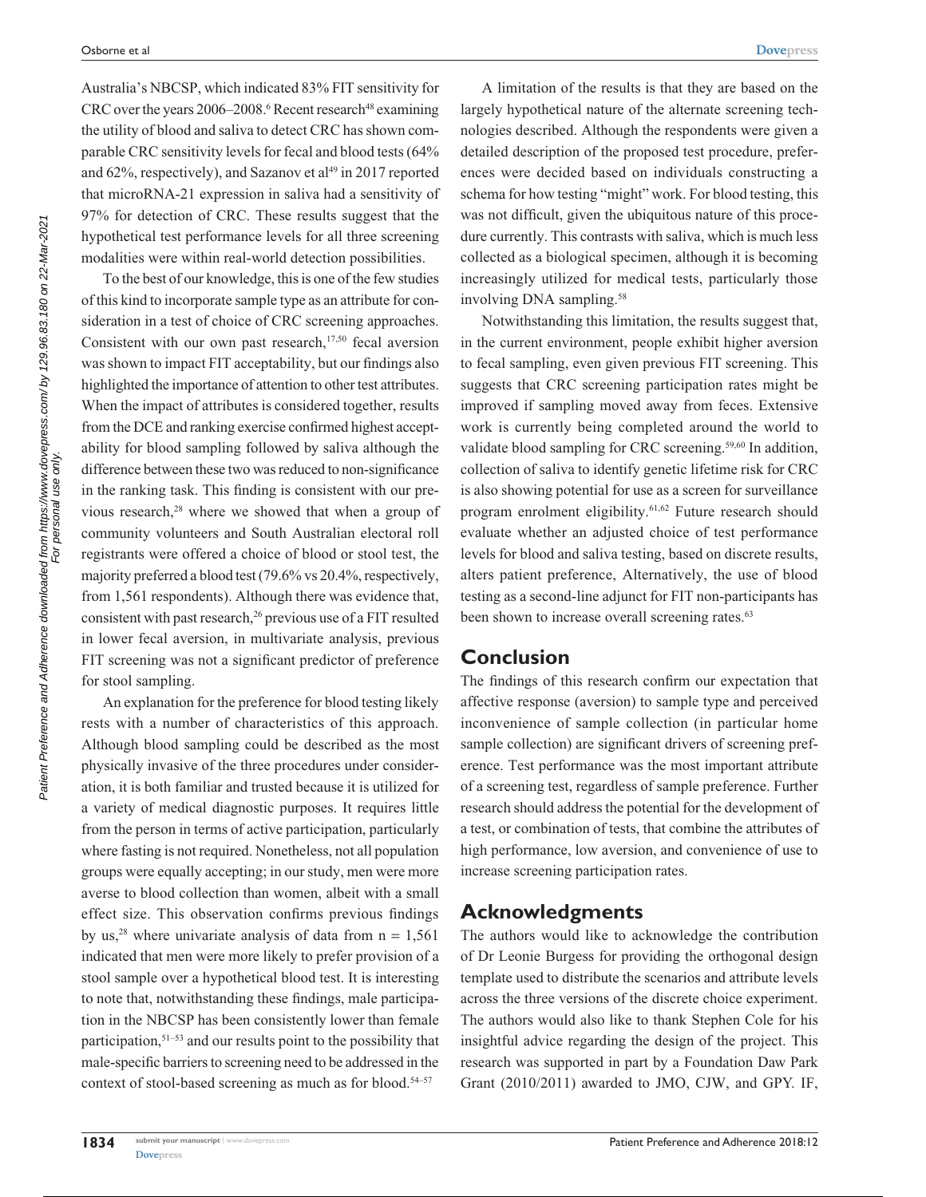Australia's NBCSP, which indicated 83% FIT sensitivity for CRC over the years 2006–2008.<sup>6</sup> Recent research<sup>48</sup> examining the utility of blood and saliva to detect CRC has shown comparable CRC sensitivity levels for fecal and blood tests (64% and 62%, respectively), and Sazanov et al<sup>49</sup> in 2017 reported that microRNA-21 expression in saliva had a sensitivity of 97% for detection of CRC. These results suggest that the hypothetical test performance levels for all three screening modalities were within real-world detection possibilities.

To the best of our knowledge, this is one of the few studies of this kind to incorporate sample type as an attribute for consideration in a test of choice of CRC screening approaches. Consistent with our own past research, $17,50$  fecal aversion was shown to impact FIT acceptability, but our findings also highlighted the importance of attention to other test attributes. When the impact of attributes is considered together, results from the DCE and ranking exercise confirmed highest acceptability for blood sampling followed by saliva although the difference between these two was reduced to non-significance in the ranking task. This finding is consistent with our previous research,28 where we showed that when a group of community volunteers and South Australian electoral roll registrants were offered a choice of blood or stool test, the majority preferred a blood test (79.6% vs 20.4%, respectively, from 1,561 respondents). Although there was evidence that, consistent with past research,<sup>26</sup> previous use of a FIT resulted in lower fecal aversion, in multivariate analysis, previous FIT screening was not a significant predictor of preference for stool sampling.

An explanation for the preference for blood testing likely rests with a number of characteristics of this approach. Although blood sampling could be described as the most physically invasive of the three procedures under consideration, it is both familiar and trusted because it is utilized for a variety of medical diagnostic purposes. It requires little from the person in terms of active participation, particularly where fasting is not required. Nonetheless, not all population groups were equally accepting; in our study, men were more averse to blood collection than women, albeit with a small effect size. This observation confirms previous findings by us,<sup>28</sup> where univariate analysis of data from  $n = 1,561$ indicated that men were more likely to prefer provision of a stool sample over a hypothetical blood test. It is interesting to note that, notwithstanding these findings, male participation in the NBCSP has been consistently lower than female participation,51–53 and our results point to the possibility that male-specific barriers to screening need to be addressed in the context of stool-based screening as much as for blood.<sup>54-57</sup>

A limitation of the results is that they are based on the largely hypothetical nature of the alternate screening technologies described. Although the respondents were given a detailed description of the proposed test procedure, preferences were decided based on individuals constructing a schema for how testing "might" work. For blood testing, this was not difficult, given the ubiquitous nature of this procedure currently. This contrasts with saliva, which is much less collected as a biological specimen, although it is becoming increasingly utilized for medical tests, particularly those involving DNA sampling.<sup>58</sup>

Notwithstanding this limitation, the results suggest that, in the current environment, people exhibit higher aversion to fecal sampling, even given previous FIT screening. This suggests that CRC screening participation rates might be improved if sampling moved away from feces. Extensive work is currently being completed around the world to validate blood sampling for CRC screening.<sup>59,60</sup> In addition, collection of saliva to identify genetic lifetime risk for CRC is also showing potential for use as a screen for surveillance program enrolment eligibility.<sup>61,62</sup> Future research should evaluate whether an adjusted choice of test performance levels for blood and saliva testing, based on discrete results, alters patient preference, Alternatively, the use of blood testing as a second-line adjunct for FIT non-participants has been shown to increase overall screening rates.<sup>63</sup>

#### **Conclusion**

The findings of this research confirm our expectation that affective response (aversion) to sample type and perceived inconvenience of sample collection (in particular home sample collection) are significant drivers of screening preference. Test performance was the most important attribute of a screening test, regardless of sample preference. Further research should address the potential for the development of a test, or combination of tests, that combine the attributes of high performance, low aversion, and convenience of use to increase screening participation rates.

#### **Acknowledgments**

The authors would like to acknowledge the contribution of Dr Leonie Burgess for providing the orthogonal design template used to distribute the scenarios and attribute levels across the three versions of the discrete choice experiment. The authors would also like to thank Stephen Cole for his insightful advice regarding the design of the project. This research was supported in part by a Foundation Daw Park Grant (2010/2011) awarded to JMO, CJW, and GPY. IF,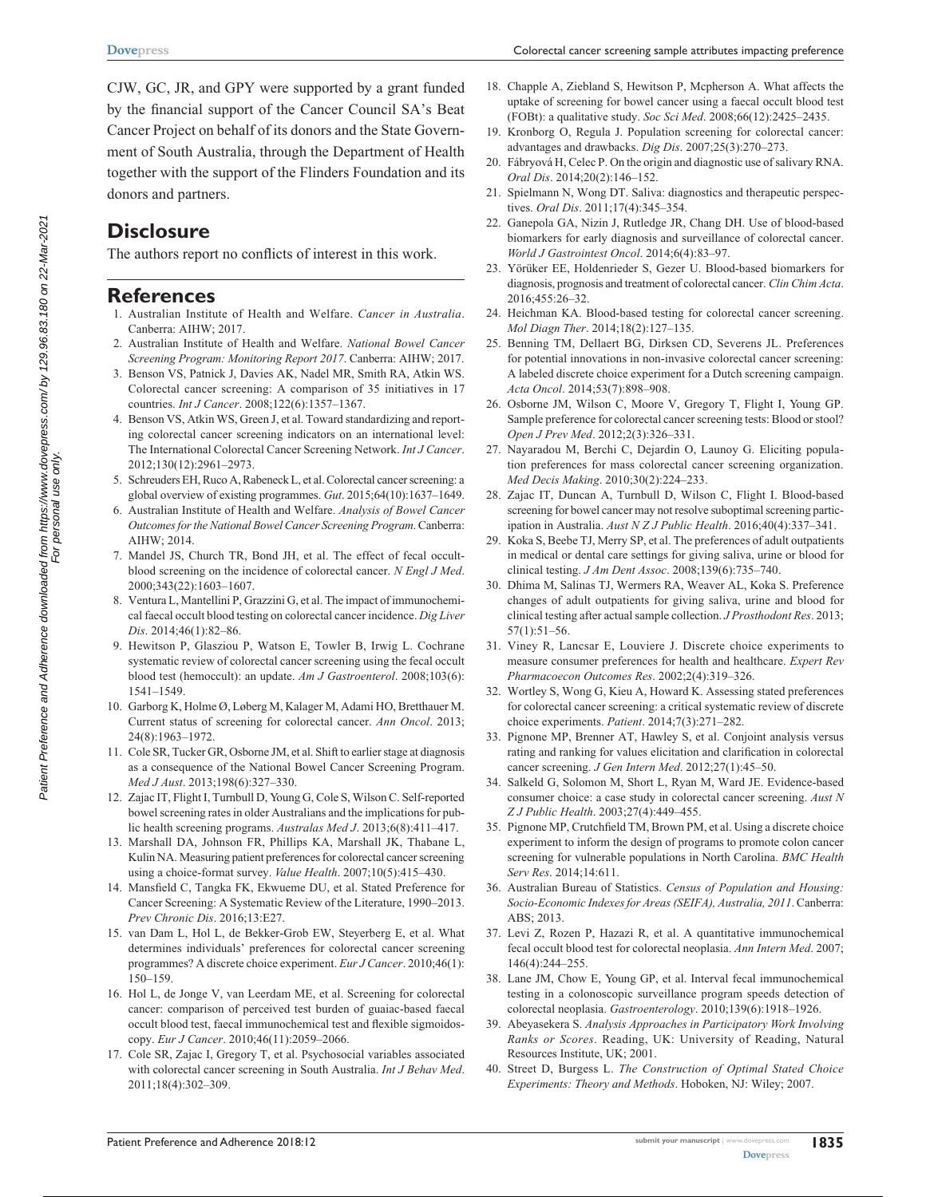CJW, GC, JR, and GPY were supported by a grant funded by the financial support of the Cancer Council SA's Beat Cancer Project on behalf of its donors and the State Government of South Australia, through the Department of Health together with the support of the Flinders Foundation and its donors and partners.

## **Disclosure**

The authors report no conflicts of interest in this work.

#### **References**

- 1. Australian Institute of Health and Welfare. *Cancer in Australia*. Canberra: AIHW; 2017.
- 2. Australian Institute of Health and Welfare. *National Bowel Cancer Screening Program: Monitoring Report 2017*. Canberra: AIHW; 2017.
- 3. Benson VS, Patnick J, Davies AK, Nadel MR, Smith RA, Atkin WS. Colorectal cancer screening: A comparison of 35 initiatives in 17 countries. *Int J Cancer*. 2008;122(6):1357–1367.
- 4. Benson VS, Atkin WS, Green J, et al. Toward standardizing and reporting colorectal cancer screening indicators on an international level: The International Colorectal Cancer Screening Network. *Int J Cancer*. 2012;130(12):2961–2973.
- 5. Schreuders EH, Ruco A, Rabeneck L, et al. Colorectal cancer screening: a global overview of existing programmes. *Gut*. 2015;64(10):1637–1649.
- 6. Australian Institute of Health and Welfare. *Analysis of Bowel Cancer Outcomes for the National Bowel Cancer Screening Program*. Canberra: AIHW; 2014.
- 7. Mandel JS, Church TR, Bond JH, et al. The effect of fecal occultblood screening on the incidence of colorectal cancer. *N Engl J Med*. 2000;343(22):1603–1607.
- 8. Ventura L, Mantellini P, Grazzini G, et al. The impact of immunochemical faecal occult blood testing on colorectal cancer incidence. *Dig Liver Dis*. 2014;46(1):82–86.
- 9. Hewitson P, Glasziou P, Watson E, Towler B, Irwig L. Cochrane systematic review of colorectal cancer screening using the fecal occult blood test (hemoccult): an update. *Am J Gastroenterol*. 2008;103(6): 1541–1549.
- 10. Garborg K, Holme Ø, Løberg M, Kalager M, Adami HO, Bretthauer M. Current status of screening for colorectal cancer. *Ann Oncol*. 2013; 24(8):1963–1972.
- 11. Cole SR, Tucker GR, Osborne JM, et al. Shift to earlier stage at diagnosis as a consequence of the National Bowel Cancer Screening Program. *Med J Aust*. 2013;198(6):327–330.
- 12. Zajac IT, Flight I, Turnbull D, Young G, Cole S, Wilson C. Self-reported bowel screening rates in older Australians and the implications for public health screening programs. *Australas Med J*. 2013;6(8):411–417.
- 13. Marshall DA, Johnson FR, Phillips KA, Marshall JK, Thabane L, Kulin NA. Measuring patient preferences for colorectal cancer screening using a choice-format survey. *Value Health*. 2007;10(5):415–430.
- 14. Mansfield C, Tangka FK, Ekwueme DU, et al. Stated Preference for Cancer Screening: A Systematic Review of the Literature, 1990–2013. *Prev Chronic Dis*. 2016;13:E27.
- 15. van Dam L, Hol L, de Bekker-Grob EW, Steyerberg E, et al. What determines individuals' preferences for colorectal cancer screening programmes? A discrete choice experiment. *Eur J Cancer*. 2010;46(1): 150–159.
- 16. Hol L, de Jonge V, van Leerdam ME, et al. Screening for colorectal cancer: comparison of perceived test burden of guaiac-based faecal occult blood test, faecal immunochemical test and flexible sigmoidoscopy. *Eur J Cancer*. 2010;46(11):2059–2066.
- 17. Cole SR, Zajac I, Gregory T, et al. Psychosocial variables associated with colorectal cancer screening in South Australia. *Int J Behav Med*. 2011;18(4):302–309.
- 18. Chapple A, Ziebland S, Hewitson P, Mcpherson A. What affects the uptake of screening for bowel cancer using a faecal occult blood test (FOBt): a qualitative study. *Soc Sci Med*. 2008;66(12):2425–2435.
- Kronborg O, Regula J. Population screening for colorectal cancer: advantages and drawbacks. *Dig Dis*. 2007;25(3):270–273.
- 20. Fábryová H, Celec P. On the origin and diagnostic use of salivary RNA. *Oral Dis*. 2014;20(2):146–152.
- 21. Spielmann N, Wong DT. Saliva: diagnostics and therapeutic perspectives. *Oral Dis*. 2011;17(4):345–354.
- 22. Ganepola GA, Nizin J, Rutledge JR, Chang DH. Use of blood-based biomarkers for early diagnosis and surveillance of colorectal cancer. *World J Gastrointest Oncol*. 2014;6(4):83–97.
- 23. Yörüker EE, Holdenrieder S, Gezer U. Blood-based biomarkers for diagnosis, prognosis and treatment of colorectal cancer. *Clin Chim Acta*. 2016;455:26–32.
- 24. Heichman KA. Blood-based testing for colorectal cancer screening. *Mol Diagn Ther*. 2014;18(2):127–135.
- 25. Benning TM, Dellaert BG, Dirksen CD, Severens JL. Preferences for potential innovations in non-invasive colorectal cancer screening: A labeled discrete choice experiment for a Dutch screening campaign. *Acta Oncol*. 2014;53(7):898–908.
- 26. Osborne JM, Wilson C, Moore V, Gregory T, Flight I, Young GP. Sample preference for colorectal cancer screening tests: Blood or stool? *Open J Prev Med*. 2012;2(3):326–331.
- 27. Nayaradou M, Berchi C, Dejardin O, Launoy G. Eliciting population preferences for mass colorectal cancer screening organization. *Med Decis Making*. 2010;30(2):224–233.
- 28. Zajac IT, Duncan A, Turnbull D, Wilson C, Flight I. Blood-based screening for bowel cancer may not resolve suboptimal screening participation in Australia. *Aust N Z J Public Health*. 2016;40(4):337–341.
- 29. Koka S, Beebe TJ, Merry SP, et al. The preferences of adult outpatients in medical or dental care settings for giving saliva, urine or blood for clinical testing. *J Am Dent Assoc*. 2008;139(6):735–740.
- 30. Dhima M, Salinas TJ, Wermers RA, Weaver AL, Koka S. Preference changes of adult outpatients for giving saliva, urine and blood for clinical testing after actual sample collection. *J Prosthodont Res*. 2013; 57(1):51–56.
- 31. Viney R, Lancsar E, Louviere J. Discrete choice experiments to measure consumer preferences for health and healthcare. *Expert Rev Pharmacoecon Outcomes Res*. 2002;2(4):319–326.
- 32. Wortley S, Wong G, Kieu A, Howard K. Assessing stated preferences for colorectal cancer screening: a critical systematic review of discrete choice experiments. *Patient*. 2014;7(3):271–282.
- 33. Pignone MP, Brenner AT, Hawley S, et al. Conjoint analysis versus rating and ranking for values elicitation and clarification in colorectal cancer screening. *J Gen Intern Med*. 2012;27(1):45–50.
- 34. Salkeld G, Solomon M, Short L, Ryan M, Ward JE. Evidence-based consumer choice: a case study in colorectal cancer screening. *Aust N Z J Public Health*. 2003;27(4):449–455.
- 35. Pignone MP, Crutchfield TM, Brown PM, et al. Using a discrete choice experiment to inform the design of programs to promote colon cancer screening for vulnerable populations in North Carolina. *BMC Health Serv Res*. 2014;14:611.
- 36. Australian Bureau of Statistics. *Census of Population and Housing: Socio-Economic Indexes for Areas (SEIFA), Australia, 2011*. Canberra: ABS; 2013.
- 37. Levi Z, Rozen P, Hazazi R, et al. A quantitative immunochemical fecal occult blood test for colorectal neoplasia. *Ann Intern Med*. 2007; 146(4):244–255.
- 38. Lane JM, Chow E, Young GP, et al. Interval fecal immunochemical testing in a colonoscopic surveillance program speeds detection of colorectal neoplasia. *Gastroenterology*. 2010;139(6):1918–1926.
- 39. Abeyasekera S. *Analysis Approaches in Participatory Work Involving Ranks or Scores*. Reading, UK: University of Reading, Natural Resources Institute, UK; 2001.
- 40. Street D, Burgess L. *The Construction of Optimal Stated Choice Experiments: Theory and Methods*. Hoboken, NJ: Wiley; 2007.